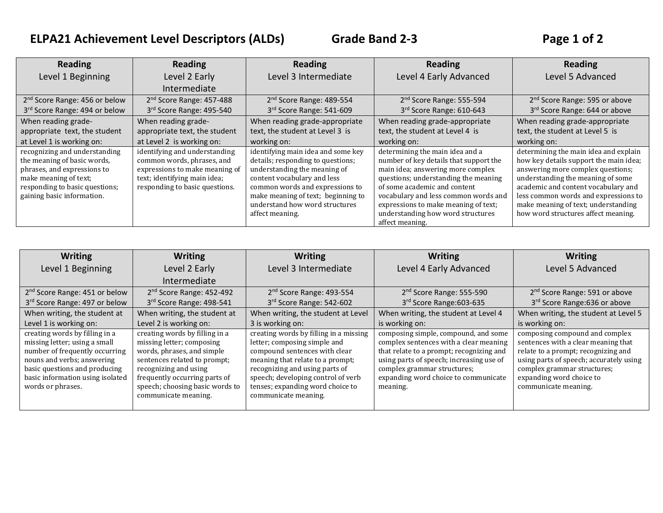## **ELPA21 Achievement Level Descriptors (ALDs) Grade Band 2-3 Page 1 of 2**

| <b>Reading</b>                                                                                                                                                                       | <b>Reading</b>                                                                                                                                                  | <b>Reading</b>                                                                                                                                                                                                                                                       | <b>Reading</b>                                                                                                                                                                                                                                                                                                                 | <b>Reading</b>                                                                                                                                                                                                                                                                                                         |
|--------------------------------------------------------------------------------------------------------------------------------------------------------------------------------------|-----------------------------------------------------------------------------------------------------------------------------------------------------------------|----------------------------------------------------------------------------------------------------------------------------------------------------------------------------------------------------------------------------------------------------------------------|--------------------------------------------------------------------------------------------------------------------------------------------------------------------------------------------------------------------------------------------------------------------------------------------------------------------------------|------------------------------------------------------------------------------------------------------------------------------------------------------------------------------------------------------------------------------------------------------------------------------------------------------------------------|
| Level 1 Beginning                                                                                                                                                                    | Level 2 Early                                                                                                                                                   | Level 3 Intermediate                                                                                                                                                                                                                                                 | Level 4 Early Advanced                                                                                                                                                                                                                                                                                                         | Level 5 Advanced                                                                                                                                                                                                                                                                                                       |
|                                                                                                                                                                                      | Intermediate                                                                                                                                                    |                                                                                                                                                                                                                                                                      |                                                                                                                                                                                                                                                                                                                                |                                                                                                                                                                                                                                                                                                                        |
| 2 <sup>nd</sup> Score Range: 456 or below                                                                                                                                            | 2 <sup>nd</sup> Score Range: 457-488                                                                                                                            | 2 <sup>nd</sup> Score Range: 489-554                                                                                                                                                                                                                                 | 2 <sup>nd</sup> Score Range: 555-594                                                                                                                                                                                                                                                                                           | 2 <sup>nd</sup> Score Range: 595 or above                                                                                                                                                                                                                                                                              |
| 3rd Score Range: 494 or below                                                                                                                                                        | 3rd Score Range: 495-540                                                                                                                                        | 3rd Score Range: 541-609                                                                                                                                                                                                                                             | 3rd Score Range: 610-643                                                                                                                                                                                                                                                                                                       | 3rd Score Range: 644 or above                                                                                                                                                                                                                                                                                          |
| When reading grade-                                                                                                                                                                  | When reading grade-                                                                                                                                             | When reading grade-appropriate                                                                                                                                                                                                                                       | When reading grade-appropriate                                                                                                                                                                                                                                                                                                 | When reading grade-appropriate                                                                                                                                                                                                                                                                                         |
| appropriate text, the student                                                                                                                                                        | appropriate text, the student                                                                                                                                   | text, the student at Level 3 is                                                                                                                                                                                                                                      | text, the student at Level 4 is                                                                                                                                                                                                                                                                                                | text, the student at Level 5 is                                                                                                                                                                                                                                                                                        |
| at Level 1 is working on:                                                                                                                                                            | at Level 2 is working on:                                                                                                                                       | working on:                                                                                                                                                                                                                                                          | working on:                                                                                                                                                                                                                                                                                                                    | working on:                                                                                                                                                                                                                                                                                                            |
| recognizing and understanding<br>the meaning of basic words,<br>phrases, and expressions to<br>make meaning of text;<br>responding to basic questions;<br>gaining basic information. | identifying and understanding<br>common words, phrases, and<br>expressions to make meaning of<br>text; identifying main idea;<br>responding to basic questions. | identifying main idea and some key<br>details; responding to questions;<br>understanding the meaning of<br>content vocabulary and less<br>common words and expressions to<br>make meaning of text; beginning to<br>understand how word structures<br>affect meaning. | determining the main idea and a<br>number of key details that support the<br>main idea; answering more complex<br>questions; understanding the meaning<br>of some academic and content<br>vocabulary and less common words and<br>expressions to make meaning of text;<br>understanding how word structures<br>affect meaning. | determining the main idea and explain<br>how key details support the main idea;<br>answering more complex questions;<br>understanding the meaning of some<br>academic and content vocabulary and<br>less common words and expressions to<br>make meaning of text; understanding<br>how word structures affect meaning. |

| <b>Writing</b>                                                                                                                                                                                                            | <b>Writing</b>                                                                                                                                                                                                                                 | <b>Writing</b>                                                                                                                                                                                                                                                                  | <b>Writing</b>                                                                                                                                                                                                                                            | <b>Writing</b>                                                                                                                                                                                                                             |
|---------------------------------------------------------------------------------------------------------------------------------------------------------------------------------------------------------------------------|------------------------------------------------------------------------------------------------------------------------------------------------------------------------------------------------------------------------------------------------|---------------------------------------------------------------------------------------------------------------------------------------------------------------------------------------------------------------------------------------------------------------------------------|-----------------------------------------------------------------------------------------------------------------------------------------------------------------------------------------------------------------------------------------------------------|--------------------------------------------------------------------------------------------------------------------------------------------------------------------------------------------------------------------------------------------|
| Level 1 Beginning                                                                                                                                                                                                         | Level 2 Early                                                                                                                                                                                                                                  | Level 3 Intermediate                                                                                                                                                                                                                                                            | Level 4 Early Advanced                                                                                                                                                                                                                                    | Level 5 Advanced                                                                                                                                                                                                                           |
|                                                                                                                                                                                                                           | Intermediate                                                                                                                                                                                                                                   |                                                                                                                                                                                                                                                                                 |                                                                                                                                                                                                                                                           |                                                                                                                                                                                                                                            |
| 2 <sup>nd</sup> Score Range: 451 or below                                                                                                                                                                                 | 2 <sup>nd</sup> Score Range: 452-492                                                                                                                                                                                                           | 2 <sup>nd</sup> Score Range: 493-554                                                                                                                                                                                                                                            | 2 <sup>nd</sup> Score Range: 555-590                                                                                                                                                                                                                      | 2 <sup>nd</sup> Score Range: 591 or above                                                                                                                                                                                                  |
| 3rd Score Range: 497 or below                                                                                                                                                                                             | 3rd Score Range: 498-541                                                                                                                                                                                                                       | 3rd Score Range: 542-602                                                                                                                                                                                                                                                        | 3rd Score Range: 603-635                                                                                                                                                                                                                                  | 3rd Score Range: 636 or above                                                                                                                                                                                                              |
| When writing, the student at                                                                                                                                                                                              | When writing, the student at                                                                                                                                                                                                                   | When writing, the student at Level                                                                                                                                                                                                                                              | When writing, the student at Level 4                                                                                                                                                                                                                      | When writing, the student at Level 5                                                                                                                                                                                                       |
| Level 1 is working on:                                                                                                                                                                                                    | Level 2 is working on:                                                                                                                                                                                                                         | 3 is working on:                                                                                                                                                                                                                                                                | is working on:                                                                                                                                                                                                                                            | is working on:                                                                                                                                                                                                                             |
| creating words by filling in a<br>missing letter; using a small<br>number of frequently occurring<br>nouns and verbs; answering<br>basic questions and producing<br>basic information using isolated<br>words or phrases. | creating words by filling in a<br>missing letter; composing<br>words, phrases, and simple<br>sentences related to prompt;<br>recognizing and using<br>frequently occurring parts of<br>speech; choosing basic words to<br>communicate meaning. | creating words by filling in a missing<br>letter; composing simple and<br>compound sentences with clear<br>meaning that relate to a prompt;<br>recognizing and using parts of<br>speech; developing control of verb<br>tenses; expanding word choice to<br>communicate meaning. | composing simple, compound, and some<br>complex sentences with a clear meaning<br>that relate to a prompt; recognizing and<br>using parts of speech; increasing use of<br>complex grammar structures;<br>expanding word choice to communicate<br>meaning. | composing compound and complex<br>sentences with a clear meaning that<br>relate to a prompt; recognizing and<br>using parts of speech; accurately using<br>complex grammar structures;<br>expanding word choice to<br>communicate meaning. |